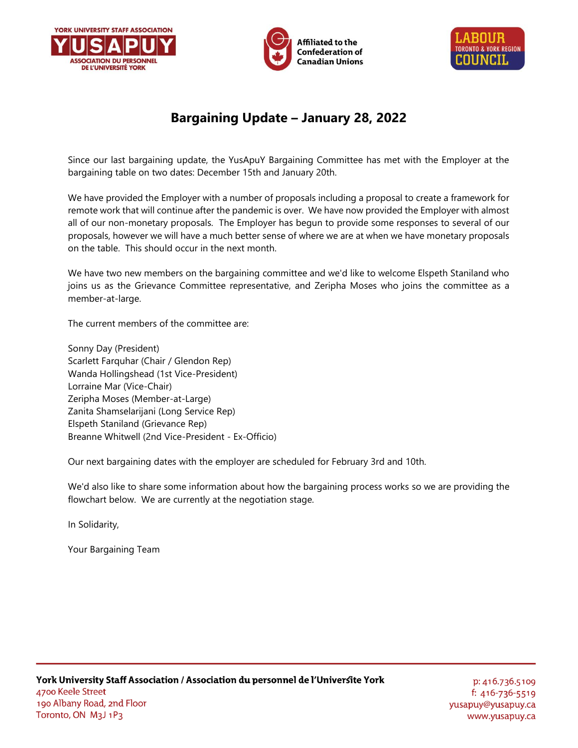





# **Bargaining Update – January 28, 2022**

Since our last bargaining update, the YusApuY Bargaining Committee has met with the Employer at the bargaining table on two dates: December 15th and January 20th.

We have provided the Employer with a number of proposals including a proposal to create a framework for remote work that will continue after the pandemic is over. We have now provided the Employer with almost all of our non-monetary proposals. The Employer has begun to provide some responses to several of our proposals, however we will have a much better sense of where we are at when we have monetary proposals on the table. This should occur in the next month.

We have two new members on the bargaining committee and we'd like to welcome Elspeth Staniland who joins us as the Grievance Committee representative, and Zeripha Moses who joins the committee as a member-at-large.

The current members of the committee are:

Sonny Day (President) Scarlett Farquhar (Chair / Glendon Rep) Wanda Hollingshead (1st Vice-President) Lorraine Mar (Vice-Chair) Zeripha Moses (Member-at-Large) Zanita Shamselarijani (Long Service Rep) Elspeth Staniland (Grievance Rep) Breanne Whitwell (2nd Vice-President - Ex-Officio)

Our next bargaining dates with the employer are scheduled for February 3rd and 10th.

We'd also like to share some information about how the bargaining process works so we are providing the flowchart below. We are currently at the negotiation stage.

In Solidarity,

Your Bargaining Team